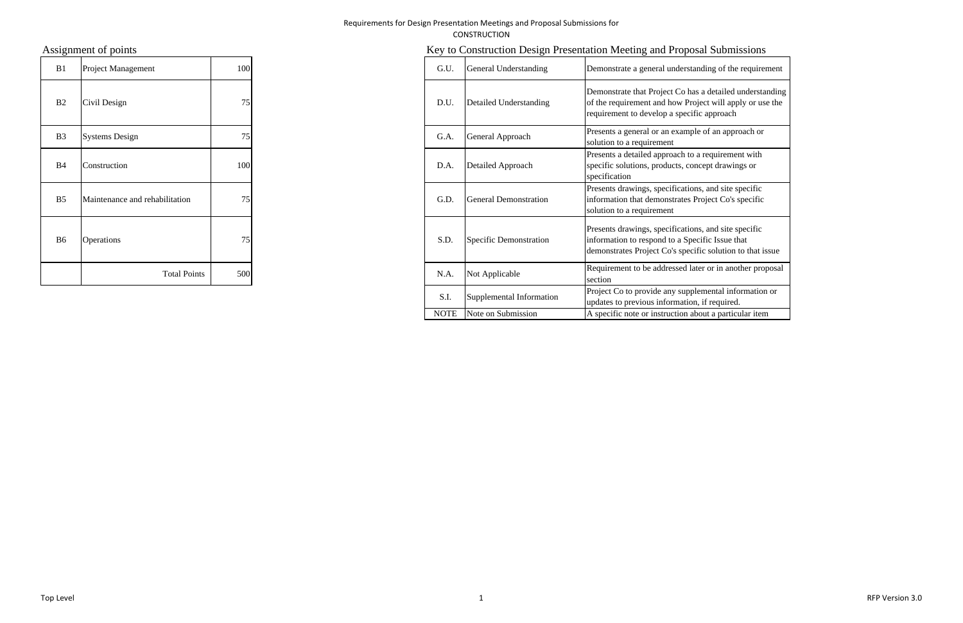### Requirements for Design Presentation Meetings and Proposal Submissions for CONSTRUCTION

| B1             | Project Management             | 100 | G.U. | General Understanding        |
|----------------|--------------------------------|-----|------|------------------------------|
| B2             | Civil Design                   | 75  | D.U. | Detailed Understanding       |
| B <sub>3</sub> | <b>Systems Design</b>          | 75  | G.A. | General Approach             |
| <b>B</b> 4     | Construction                   | 100 | D.A. | Detailed Approach            |
| B <sub>5</sub> | Maintenance and rehabilitation | 75  | G.D. | <b>General Demonstration</b> |
| B <sub>6</sub> | Operations                     | 75  | S.D. | Specific Demonstration       |
|                | <b>Total Points</b>            | 500 | N.A. | Not Applicable               |

# Assignment of points **Key to Construction Design Presentation Meeting and Proposal Submissions**

| B1             | Project Management             | 100 | G.U.        | General Understanding    | Demonstrate a general understanding of the requirement                                                                                                               |
|----------------|--------------------------------|-----|-------------|--------------------------|----------------------------------------------------------------------------------------------------------------------------------------------------------------------|
| B <sub>2</sub> | Civil Design                   | 75  | D.U.        | Detailed Understanding   | Demonstrate that Project Co has a detailed understanding<br>of the requirement and how Project will apply or use the<br>requirement to develop a specific approach   |
| B3             | <b>Systems Design</b>          | 75  | G.A.        | General Approach         | Presents a general or an example of an approach or<br>solution to a requirement                                                                                      |
| B4             | Construction                   | 100 | D.A.        | Detailed Approach        | Presents a detailed approach to a requirement with<br>specific solutions, products, concept drawings or<br>specification                                             |
| <b>B5</b>      | Maintenance and rehabilitation | 75  | G.D.        | General Demonstration    | Presents drawings, specifications, and site specific<br>information that demonstrates Project Co's specific<br>solution to a requirement                             |
| B6             | <b>Operations</b>              | 75  | S.D.        | Specific Demonstration   | Presents drawings, specifications, and site specific<br>information to respond to a Specific Issue that<br>demonstrates Project Co's specific solution to that issue |
|                | <b>Total Points</b>            | 500 | N.A.        | Not Applicable           | Requirement to be addressed later or in another proposal<br>section                                                                                                  |
|                |                                |     | S.I.        | Supplemental Information | Project Co to provide any supplemental information or<br>updates to previous information, if required.                                                               |
|                |                                |     | <b>NOTE</b> | Note on Submission       | A specific note or instruction about a particular item                                                                                                               |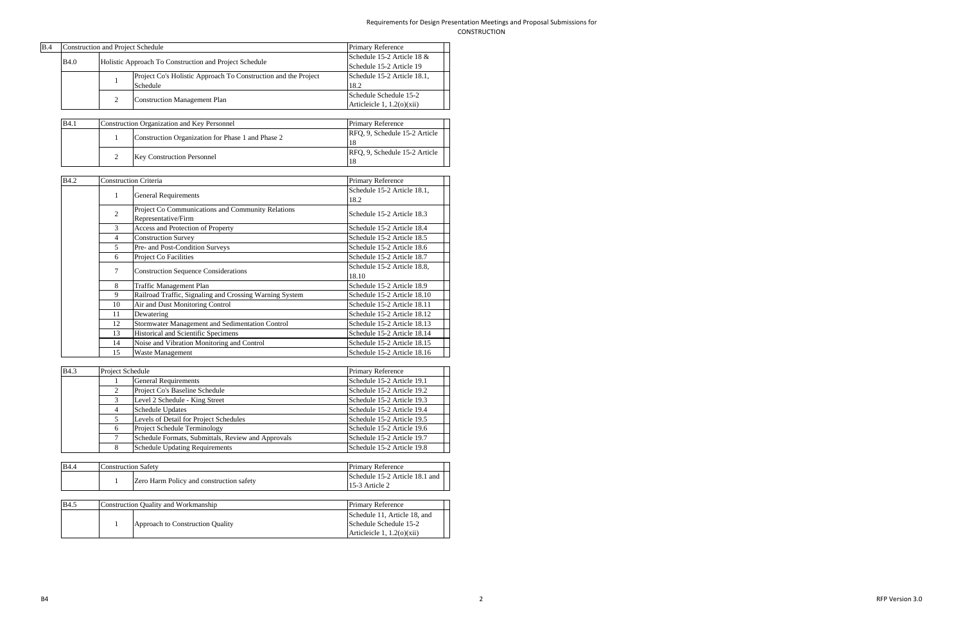| <b>B.4</b> | Construction and Project Schedule<br><b>Primary Reference</b> |  |                                                                            |                                                        |  |  |  |  |  |
|------------|---------------------------------------------------------------|--|----------------------------------------------------------------------------|--------------------------------------------------------|--|--|--|--|--|
|            | <b>B</b> 4.0                                                  |  | Holistic Approach To Construction and Project Schedule                     | Schedule 15-2 Article 18 &<br>Schedule 15-2 Article 19 |  |  |  |  |  |
|            |                                                               |  | Project Co's Holistic Approach To Construction and the Project<br>Schedule | Schedule 15-2 Article 18.1,<br>18.2                    |  |  |  |  |  |
|            |                                                               |  | <b>Construction Management Plan</b>                                        | Schedule Schedule 15-2<br>Articleicle 1, $1.2(0)(xii)$ |  |  |  |  |  |

| <b>B</b> 4.1 | Construction Organization and Key Personnel<br><b>Primary Reference</b> |                               |  |  |  |  |  |  |
|--------------|-------------------------------------------------------------------------|-------------------------------|--|--|--|--|--|--|
|              | Construction Organization for Phase 1 and Phase 2                       | RFQ, 9, Schedule 15-2 Article |  |  |  |  |  |  |
|              |                                                                         | 18                            |  |  |  |  |  |  |
|              | <b>Key Construction Personnel</b>                                       | RFO, 9, Schedule 15-2 Article |  |  |  |  |  |  |
|              |                                                                         | 18                            |  |  |  |  |  |  |

| <b>B4.2</b> |                | <b>Construction Criteria</b>                                             | Primary Reference                    |
|-------------|----------------|--------------------------------------------------------------------------|--------------------------------------|
|             | 1              | <b>General Requirements</b>                                              | Schedule 15-2 Article 18.1,<br>18.2  |
|             | $\overline{2}$ | Project Co Communications and Community Relations<br>Representative/Firm | Schedule 15-2 Article 18.3           |
|             | $\mathcal{F}$  | Access and Protection of Property                                        | Schedule 15-2 Article 18.4           |
|             | 4              | <b>Construction Survey</b>                                               | Schedule 15-2 Article 18.5           |
|             | 5              | Pre- and Post-Condition Surveys                                          | Schedule 15-2 Article 18.6           |
|             | 6              | Project Co Facilities                                                    | Schedule 15-2 Article 18.7           |
|             | 7              | <b>Construction Sequence Considerations</b>                              | Schedule 15-2 Article 18.8,<br>18.10 |
|             | 8              | Traffic Management Plan                                                  | Schedule 15-2 Article 18.9           |
|             | 9              | Railroad Traffic, Signaling and Crossing Warning System                  | Schedule 15-2 Article 18.10          |
|             | 10             | Air and Dust Monitoring Control                                          | Schedule 15-2 Article 18.11          |
|             | 11             | Dewatering                                                               | Schedule 15-2 Article 18.12          |
|             | 12             | Stormwater Management and Sedimentation Control                          | Schedule 15-2 Article 18.13          |
|             | 13             | Historical and Scientific Specimens                                      | Schedule 15-2 Article 18.14          |
|             | 14             | Noise and Vibration Monitoring and Control                               | Schedule 15-2 Article 18.15          |
|             | 15             | Waste Management                                                         | Schedule 15-2 Article 18.16          |

| <b>B4.3</b> |  | Project Schedule                                   | <b>Primary Reference</b>   |
|-------------|--|----------------------------------------------------|----------------------------|
|             |  | <b>General Requirements</b>                        | Schedule 15-2 Article 19.1 |
|             |  | Project Co's Baseline Schedule                     | Schedule 15-2 Article 19.2 |
|             |  | Level 2 Schedule - King Street                     | Schedule 15-2 Article 19.3 |
|             |  | <b>Schedule Updates</b>                            | Schedule 15-2 Article 19.4 |
|             |  | Levels of Detail for Project Schedules             | Schedule 15-2 Article 19.5 |
| 6           |  | Project Schedule Terminology                       | Schedule 15-2 Article 19.6 |
|             |  | Schedule Formats, Submittals, Review and Approvals | Schedule 15-2 Article 19.7 |
|             |  | <b>Schedule Updating Requirements</b>              | Schedule 15-2 Article 19.8 |

| <b>B</b> 4.4 | Construction Safety |                                          | <b>Primary Reference</b>                         |
|--------------|---------------------|------------------------------------------|--------------------------------------------------|
|              |                     | Zero Harm Policy and construction safety | Schedule 15-2 Article 18.1 and<br>15-3 Article 2 |

| <b>B</b> 4.5 | Construction Quality and Workmanship | <b>Primary Reference</b>     |
|--------------|--------------------------------------|------------------------------|
|              |                                      | Schedule 11, Article 18, and |
|              | Approach to Construction Quality     | Schedule Schedule 15-2       |
|              |                                      | Articleicle $1, 1.2(0)(xii)$ |

 2 RFPVersion 3.0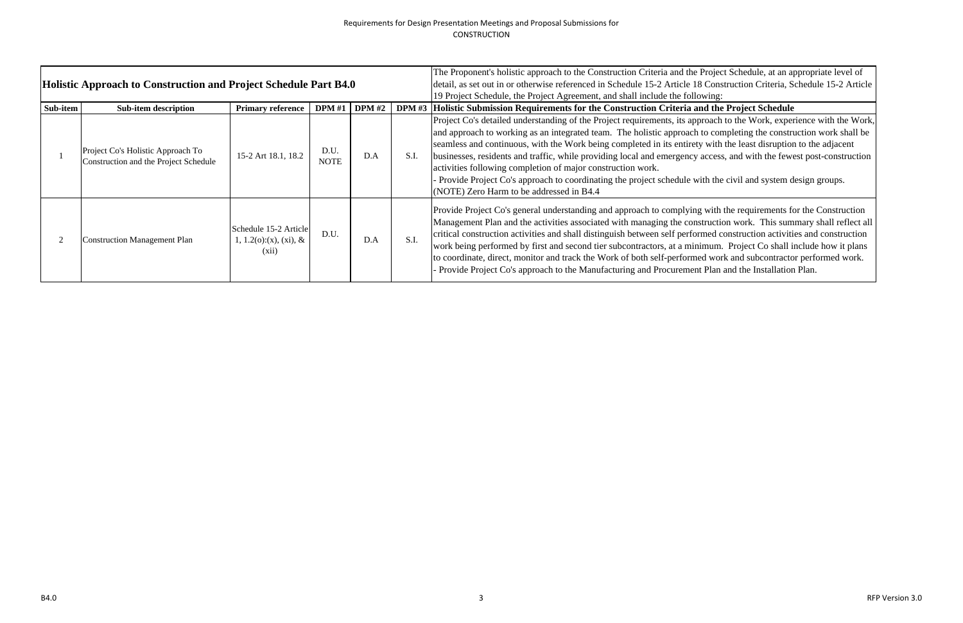|                | Holistic Approach to Construction and Project Schedule Part B4.0           |                                                             |                     |               |      | The Proponent's holistic approach to the Construction Criteria and the Project<br>detail, as set out in or otherwise referenced in Schedule 15-2 Article 18 Cons                                                                                                                                                                                                                                                                                                                                                          |
|----------------|----------------------------------------------------------------------------|-------------------------------------------------------------|---------------------|---------------|------|---------------------------------------------------------------------------------------------------------------------------------------------------------------------------------------------------------------------------------------------------------------------------------------------------------------------------------------------------------------------------------------------------------------------------------------------------------------------------------------------------------------------------|
| Sub-item       | <b>Sub-item description</b>                                                | <b>Primary reference</b>                                    | <b>DPM</b> #1       | <b>DPM</b> #2 |      | 19 Project Schedule, the Project Agreement, and shall include the following<br>DPM #3 Holistic Submission Requirements for the Construction Criteria and the                                                                                                                                                                                                                                                                                                                                                              |
|                | Project Co's Holistic Approach To<br>Construction and the Project Schedule | 15-2 Art 18.1, 18.2                                         | D.U.<br><b>NOTE</b> | D.A           | S.I. | Project Co's detailed understanding of the Project requirements, its approach<br>and approach to working as an integrated team. The holistic approach to con<br>seamless and continuous, with the Work being completed in its entirety with<br>businesses, residents and traffic, while providing local and emergency acces<br>activities following completion of major construction work.<br>- Provide Project Co's approach to coordinating the project schedule with the<br>$(NOTE)$ Zero Harm to be addressed in B4.4 |
| $\overline{2}$ | <b>Construction Management Plan</b>                                        | Schedule 15-2 Article<br>1, 1.2(o):(x), (xi), $\&$<br>(xii) | D.U.                | D.A           | S.I. | Provide Project Co's general understanding and approach to complying with<br>Management Plan and the activities associated with managing the constructi<br>critical construction activities and shall distinguish between self performed or<br>work being performed by first and second tier subcontractors, at a minimum<br>to coordinate, direct, monitor and track the Work of both self-performed wor<br>- Provide Project Co's approach to the Manufacturing and Procurement Plan                                    |

The Proposition Construction appropriate level of Construction Criteria, Schedule 15-2 Article

## I the Project Schedule

pach to the Work, experience with the Work, o completing the construction work shall be with the least disruption to the adjacent business, and with the fewest post-construction

r the civil and system design groups.

with the requirements for the Construction uction work. This summary shall reflect all ed construction activities and construction hum. Project Co shall include how it plans work and subcontractor performed work. Plan and the Installation Plan.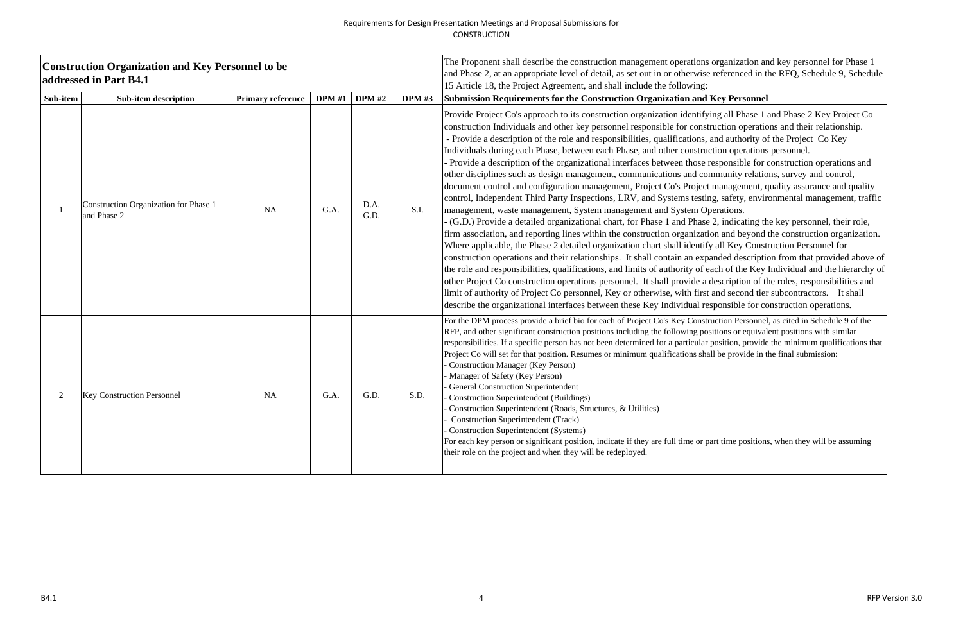### Requirements for Design Presentation Meetings and Proposal Submissions for CONSTRUCTION

|                | <b>Construction Organization and Key Personnel to be</b><br>addressed in Part B4.1 |                          | The Proponent shall describe the construction management operations organization an<br>and Phase 2, at an appropriate level of detail, as set out in or otherwise referenced in the<br>15 Article 18, the Project Agreement, and shall include the following: |               |               |                                                                                                                                                                                                                                                                                                                                                                                                                                                                                                                                                                                                                                                                                                                                                                                                                                                                                                                                                                                                                                                                                                                                                                                                                                                                                                                                                                                                                                                                                       |
|----------------|------------------------------------------------------------------------------------|--------------------------|---------------------------------------------------------------------------------------------------------------------------------------------------------------------------------------------------------------------------------------------------------------|---------------|---------------|---------------------------------------------------------------------------------------------------------------------------------------------------------------------------------------------------------------------------------------------------------------------------------------------------------------------------------------------------------------------------------------------------------------------------------------------------------------------------------------------------------------------------------------------------------------------------------------------------------------------------------------------------------------------------------------------------------------------------------------------------------------------------------------------------------------------------------------------------------------------------------------------------------------------------------------------------------------------------------------------------------------------------------------------------------------------------------------------------------------------------------------------------------------------------------------------------------------------------------------------------------------------------------------------------------------------------------------------------------------------------------------------------------------------------------------------------------------------------------------|
| Sub-item       | <b>Sub-item description</b>                                                        | <b>Primary reference</b> | <b>DPM</b> #1                                                                                                                                                                                                                                                 | <b>DPM</b> #2 | <b>DPM</b> #3 | Submission Requirements for the Construction Organization and Key Personnel<br>Provide Project Co's approach to its construction organization identifying all Phase 1 a                                                                                                                                                                                                                                                                                                                                                                                                                                                                                                                                                                                                                                                                                                                                                                                                                                                                                                                                                                                                                                                                                                                                                                                                                                                                                                               |
|                | Construction Organization for Phase 1<br>and Phase 2                               | NA                       | G.A.                                                                                                                                                                                                                                                          | D.A.<br>G.D.  | S.I.          | construction Individuals and other key personnel responsible for construction operatio<br>- Provide a description of the role and responsibilities, qualifications, and authority of<br>Individuals during each Phase, between each Phase, and other construction operations<br>Provide a description of the organizational interfaces between those responsible for c<br>other disciplines such as design management, communications and community relation<br>document control and configuration management, Project Co's Project management, q<br>control, Independent Third Party Inspections, LRV, and Systems testing, safety, enviro<br>management, waste management, System management and System Operations.<br>(G.D.) Provide a detailed organizational chart, for Phase 1 and Phase 2, indicating the<br>firm association, and reporting lines within the construction organization and beyond t<br>Where applicable, the Phase 2 detailed organization chart shall identify all Key Constr<br>construction operations and their relationships. It shall contain an expanded description<br>the role and responsibilities, qualifications, and limits of authority of each of the Key I<br>other Project Co construction operations personnel. It shall provide a description of the<br>limit of authority of Project Co personnel, Key or otherwise, with first and second tier<br>describe the organizational interfaces between these Key Individual responsible for co |
| $\overline{2}$ | <b>Key Construction Personnel</b>                                                  | <b>NA</b>                | G.A.                                                                                                                                                                                                                                                          | G.D.          | S.D.          | For the DPM process provide a brief bio for each of Project Co's Key Construction Personnel,<br>RFP, and other significant construction positions including the following positions or equivalent<br>responsibilities. If a specific person has not been determined for a particular position, provide<br>Project Co will set for that position. Resumes or minimum qualifications shall be provide in th<br><b>Construction Manager (Key Person)</b><br>Manager of Safety (Key Person)<br><b>General Construction Superintendent</b><br><b>Construction Superintendent (Buildings)</b><br>Construction Superintendent (Roads, Structures, & Utilities)<br><b>Construction Superintendent (Track)</b><br><b>Construction Superintendent (Systems)</b><br>For each key person or significant position, indicate if they are full time or part time positions<br>their role on the project and when they will be redeployed.                                                                                                                                                                                                                                                                                                                                                                                                                                                                                                                                                            |

In the Proponent shall describe the constrained for Phase 1 and Phase 2, at an appropriate level of the RFQ, Schedule 9, Schedule 9, Schedule 9, Schedule 9, Schedule 9, Schedule 9, Schedule 9, Schedule 9, Schedule 9, Schedule 9, Schedule 9, Schedule 9, Schedule 9, Schedule 9, Sched

Fying all Phase 1 and Phase 2 Key Project Co struction operations and their relationship. and authority of the Project Co Key uction operations personnel.

responsible for construction operations and ommunity relations, survey and control, ct management, quality assurance and quality ing, safety, environmental management, traffic berations.

se 2, indicating the key personnel, their role, frith and beyond the construction organization. ify all Key Construction Personnel for panded description from that provided above of each of the Key Individual and the hierarchy of a description of the roles, responsibilities and limit of authority of authority of and second tier subcontractors. It shall esponsible for construction operations.

for the Department and provide a brief and Schedule 9 of the Schedule 9 of the Schedule 9 of the Schedule 9 of the ositions or equivalent positions with similar r position, provide the minimum qualifications that hall be provide in the final submission:

part time positions, when they will be assuming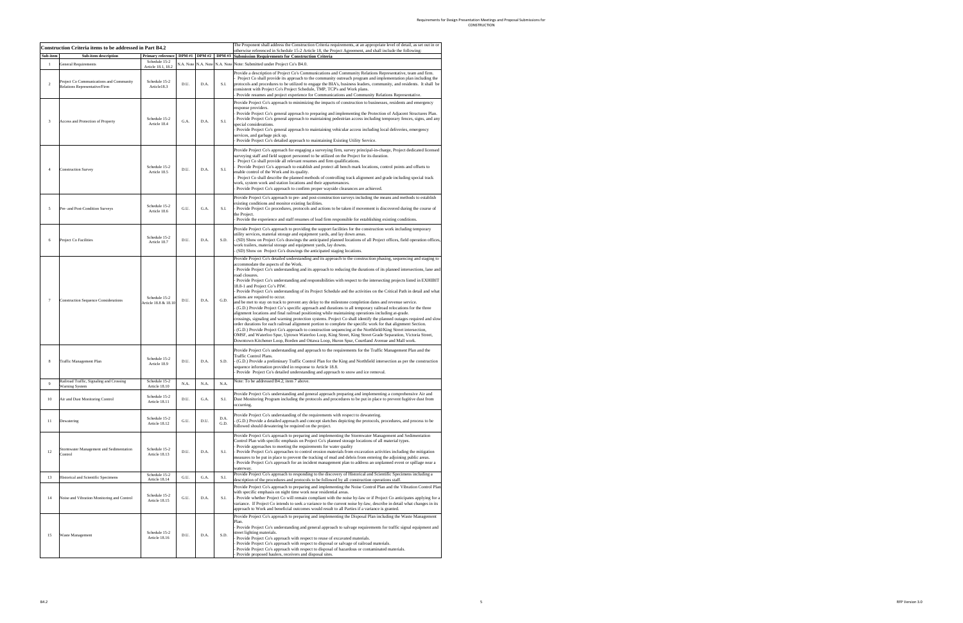|                 | <b>Construction Criteria items to be addressed in Part B4.2</b>          |                                       |      |                      |               | The Proponent shall address the Construction Criteria requirements, at an appropriate level of detail, as set out in or<br>otherwise referenced in Schedule 15-2 Article 18, the Project Agreement, and shall include the following:                                                                                                                                                                                                                                                                                                                                                                                                                                                                                                                                                                                                                                                                                                                                                                                                                                                                                                                                                                                                                                                                                                                                                                                                                                                                                               |
|-----------------|--------------------------------------------------------------------------|---------------------------------------|------|----------------------|---------------|------------------------------------------------------------------------------------------------------------------------------------------------------------------------------------------------------------------------------------------------------------------------------------------------------------------------------------------------------------------------------------------------------------------------------------------------------------------------------------------------------------------------------------------------------------------------------------------------------------------------------------------------------------------------------------------------------------------------------------------------------------------------------------------------------------------------------------------------------------------------------------------------------------------------------------------------------------------------------------------------------------------------------------------------------------------------------------------------------------------------------------------------------------------------------------------------------------------------------------------------------------------------------------------------------------------------------------------------------------------------------------------------------------------------------------------------------------------------------------------------------------------------------------|
| Sub-item        | <b>Sub-item description</b>                                              | <b>Primary reference</b>              |      | <b>DPM #1 DPM #2</b> | <b>DPM</b> #3 | <b>Submission Requirements for Construction Criteria</b>                                                                                                                                                                                                                                                                                                                                                                                                                                                                                                                                                                                                                                                                                                                                                                                                                                                                                                                                                                                                                                                                                                                                                                                                                                                                                                                                                                                                                                                                           |
| -1              | <b>General Requirements</b>                                              | Schedule 15-2<br>Article 18.1, 18.2   |      | N.A. Note N.A. Note  | N.A. Note     | Note: Submitted under Project Co's B4.0.                                                                                                                                                                                                                                                                                                                                                                                                                                                                                                                                                                                                                                                                                                                                                                                                                                                                                                                                                                                                                                                                                                                                                                                                                                                                                                                                                                                                                                                                                           |
| $\overline{2}$  | Project Co Communications and Community<br>Relations Representative/Firm | Schedule 15-2<br>Article18.3          | D.U. | D.A.                 | S.I.          | Provide a description of Project Co's Communications and Community Relations Representative, team and firm.<br>Project Co shall provide its approach to the community outreach program and implementation plan including the<br>protocols and procedures to be utilized to engage the BIA's, business leaders, community, and residents. It shall be<br>onsistent with Project Co's Project Schedule, TMP, TCP's and Work plans.<br>Provide resumes and project experience for Communications and Community Relations Representative.                                                                                                                                                                                                                                                                                                                                                                                                                                                                                                                                                                                                                                                                                                                                                                                                                                                                                                                                                                                              |
| 3               | Access and Protection of Property                                        | Schedule 15-2<br>Article 18.4         | G.A. | D.A.                 | S.I.          | Provide Project Co's approach to minimizing the impacts of construction to businesses, residents and emergency<br>response providers.<br>Provide Project Co's general approach to preparing and implementing the Protection of Adjacent Structures Plan.<br>Provide Project Co's general approach to maintaining pedestrian access including temporary fences, signs, and any<br>special considerations.<br>Provide Project Co's general approach to maintaining vehicular access including local deliveries, emergency<br>services, and garbage pick up.<br>Provide Project Co's detailed approach to maintaining Existing Utility Service.                                                                                                                                                                                                                                                                                                                                                                                                                                                                                                                                                                                                                                                                                                                                                                                                                                                                                       |
| $\overline{4}$  | <b>Construction Survey</b>                                               | Schedule 15-2<br>Article 18.5         | D.U. | D.A.                 | S.I.          | Provide Project Co's approach for engaging a surveying firm, survey principal-in-charge, Project dedicated licensed<br>surveying staff and field support personnel to be utilized on the Project for its duration.<br>Project Co shall provide all relevant resumes and firm qualifications.<br>Provide Project Co's approach to establish and protect all bench mark locations, control points and offsets to<br>enable control of the Work and its quality.<br>Project Co shall describe the planned methods of controlling track alignment and grade including special track<br>work, system work and station locations and their appurtenances.<br>Provide Project Co's approach to confirm proper wayside clearances are achieved.                                                                                                                                                                                                                                                                                                                                                                                                                                                                                                                                                                                                                                                                                                                                                                                            |
| 5               | Pre- and Post-Condition Surveys                                          | Schedule 15-2<br>Article 18.6         | G.U. | G.A.                 | S.I.          | Provide Project Co's approach to pre- and post-construction surveys including the means and methods to establish<br>existing conditions and monitor existing facilities.<br>Provide Project Co procedures, protocols and actions to be taken if movement is discovered during the course of<br>the Project.<br>Provide the experience and staff resumes of lead firm responsible for establishing existing conditions.                                                                                                                                                                                                                                                                                                                                                                                                                                                                                                                                                                                                                                                                                                                                                                                                                                                                                                                                                                                                                                                                                                             |
| 6               | Project Co Facilities                                                    | Schedule 15-2<br>Article 18.7         | D.U. | D.A.                 | S.D.          | Provide Project Co's approach to providing the support facilities for the construction work including temporary<br>itility services, material storage and equipment yards, and lay down areas.<br>(SD) Show on Project Co's drawings the anticipated planned locations of all Project offices, field operation offices,<br>work trailers, material storage and equipment yards, lay downs.<br>(SD) Show on Project Co's drawings the anticipated staging locations.                                                                                                                                                                                                                                                                                                                                                                                                                                                                                                                                                                                                                                                                                                                                                                                                                                                                                                                                                                                                                                                                |
| $7\phantom{.0}$ | <b>Construction Sequence Considerations</b>                              | Schedule 15-2<br>Article 18.8 & 18.10 | D.U. | D.A.                 | G.D.          | Provide Project Co's detailed understanding and its approach to the construction phasing, sequencing and staging to<br>accommodate the aspects of the Work.<br>Provide Project Co's understanding and its approach to reducing the durations of its planned intersections, lane and<br>road closures.<br>Provide Project Co's understanding and responsibilities with respect to the intersecting projects listed in EXHIBIT<br>18.8-1 and Project Co's PIW.<br>Provide Project Co's understanding of its Project Schedule and the activities on the Critical Path in detail and what<br>actions are required to occur.<br>and be met to stay on track to prevent any delay to the milestone completion dates and revenue service.<br>(G.D.) Provide Project Co's specific approach and durations to all temporary railroad relocations for the three<br>alignment locations and final railroad positioning while maintaining operations including at-grade.<br>crossings, signaling and warning protection systems. Project Co shall identify the planned outages required and slow<br>order durations for each railroad alignment portion to complete the specific work for that alignment Section.<br>(G.D.) Provide Project Co's approach to construction sequencing at the Northfield/King Street intersection,<br>OMSF, and Waterloo Spur, Uptown Waterloo Loop, King Street, King Street Grade Separation, Victoria Street,<br>Downtown Kitchener Loop, Borden and Ottawa Loop, Huron Spur, Courtland Avenue and Mall work. |
| 8               | Traffic Management Plan                                                  | Schedule 15-2<br>Article 18.9         | D.U. | D.A.                 | S.D.          | Provide Project Co's understanding and approach to the requirements for the Traffic Management Plan and the<br>Traffic Control Plans.<br>(G.D.) Provide a preliminary Traffic Control Plan for the King and Northfield intersection as per the construction<br>sequence information provided in response to Article 18.8.<br>Provide Project Co's detailed understanding and approach to snow and ice removal.                                                                                                                                                                                                                                                                                                                                                                                                                                                                                                                                                                                                                                                                                                                                                                                                                                                                                                                                                                                                                                                                                                                     |
| 9               | Railroad Traffic, Signaling and Crossing<br>Warning System               | Schedule 15-2<br>Article 18.10        | N.A. | N.A.                 | N.A.          | Note: To be addressed B4.2, item 7 above.                                                                                                                                                                                                                                                                                                                                                                                                                                                                                                                                                                                                                                                                                                                                                                                                                                                                                                                                                                                                                                                                                                                                                                                                                                                                                                                                                                                                                                                                                          |
| $10\,$          | Air and Dust Monitoring Control                                          | Schedule 15-2<br>Article 18.11        | D.U. | G.A.                 | S.I.          | rovide Project Co's understanding and general approach preparing and implementing a comprehensive Air and<br>Dust Monitoring Program including the protocols and procedures to be put in place to prevent fugitive dust from<br>occurring.                                                                                                                                                                                                                                                                                                                                                                                                                                                                                                                                                                                                                                                                                                                                                                                                                                                                                                                                                                                                                                                                                                                                                                                                                                                                                         |
| 11              | Dewatering                                                               | Schedule 15-2<br>Article 18.12        | G.U. | D.U.                 | D.A.<br>G.D.  | Provide Project Co's understanding of the requirements with respect to dewatering.<br>(G.D.) Provide a detailed approach and concept sketches depicting the protocols, procedures, and process to be<br>followed should dewatering be required on the project.                                                                                                                                                                                                                                                                                                                                                                                                                                                                                                                                                                                                                                                                                                                                                                                                                                                                                                                                                                                                                                                                                                                                                                                                                                                                     |
| 12              | Stormwater Management and Sedimentation<br>Control                       | Schedule 15-2<br>Article 18.13        | D.U. | D.A.                 | S.I.          | Provide Project Co's approach to preparing and implementing the Stormwater Management and Sedimentation<br>Control Plan with specific emphasis on Project Co's planned storage locations of all material types.<br>Provide approaches to meeting the requirements for water quality<br>Provide Project Co's approaches to control erosion materials from excavation activities including the mitigation<br>neasures to be put in place to prevent the tracking of mud and debris from entering the adjoining public areas.<br>Provide Project Co's approach for an incident management plan to address an unplanned event or spillage near a<br>waterway.                                                                                                                                                                                                                                                                                                                                                                                                                                                                                                                                                                                                                                                                                                                                                                                                                                                                          |
| 13              | Historical and Scientific Specimens                                      | Schedule 15-2<br>Article 18.14        | G.U. | G.A.                 | S.I.          | Provide Project Co's approach to responding to the discovery of Historical and Scientific Specimens including a<br>description of the procedures and protocols to be followed by all construction operations staff.                                                                                                                                                                                                                                                                                                                                                                                                                                                                                                                                                                                                                                                                                                                                                                                                                                                                                                                                                                                                                                                                                                                                                                                                                                                                                                                |
| 14              | Noise and Vibration Monitoring and Control                               | Schedule 15-2<br>Article 18.15        | G.U. | D.A.                 | S.I.          | Provide Project Co's approach to preparing and implementing the Noise Control Plan and the Vibration Control Plan<br>with specific emphasis on night time work near residential areas.<br>Provide whether Project Co will remain compliant with the noise by-law or if Project Co anticipates applying for a<br>variance. If Project Co intends to seek a variance to the current noise by-law, describe in detail what changes in its<br>approach to Work and beneficial outcomes would result to all Parties if a variance is granted.                                                                                                                                                                                                                                                                                                                                                                                                                                                                                                                                                                                                                                                                                                                                                                                                                                                                                                                                                                                           |
| 15              | Waste Management                                                         | Schedule 15-2<br>Article 18.16        | D.U. | D.A.                 | S.D.          | Provide Project Co's approach to preparing and implementing the Disposal Plan including the Waste Management<br>Plan.<br>Provide Project Co's understanding and general approach to salvage requirements for traffic signal equipment and<br>street lighting materials.<br>Provide Project Co's approach with respect to reuse of excavated materials.<br>Provide Project Co's approach with respect to disposal or salvage of railroad materials.<br>Provide Project Co's approach with respect to disposal of hazardous or contaminated materials.<br>Provide proposed haulers, receivers and disposal sites.                                                                                                                                                                                                                                                                                                                                                                                                                                                                                                                                                                                                                                                                                                                                                                                                                                                                                                                    |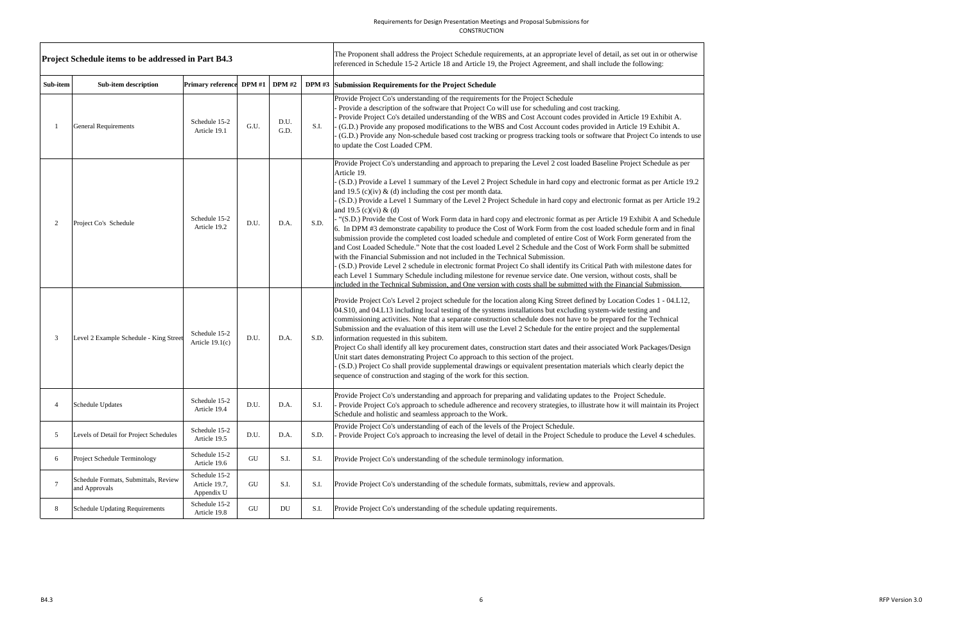### Requirements for Design Presentation Meetings and Proposal Submissions for CONSTRUCTION

 $\frac{6}{100}$ Version 3.0

|                               | Project Schedule items to be addressed in Part B4.3   |                                              |            |              |      | The Proponent shall address the Project Schedule requirements, at an appropriate level of detail, as set out in or otherwise<br>referenced in Schedule 15-2 Article 18 and Article 19, the Project Agreement, and shall include the following:                                                                                                                                                                                                                                                                                                                                                                                                                                                                                                                                                                                                                                                                                                                                                                                                                                                                                                                                                                                                                                                                                                                                                                                                |
|-------------------------------|-------------------------------------------------------|----------------------------------------------|------------|--------------|------|-----------------------------------------------------------------------------------------------------------------------------------------------------------------------------------------------------------------------------------------------------------------------------------------------------------------------------------------------------------------------------------------------------------------------------------------------------------------------------------------------------------------------------------------------------------------------------------------------------------------------------------------------------------------------------------------------------------------------------------------------------------------------------------------------------------------------------------------------------------------------------------------------------------------------------------------------------------------------------------------------------------------------------------------------------------------------------------------------------------------------------------------------------------------------------------------------------------------------------------------------------------------------------------------------------------------------------------------------------------------------------------------------------------------------------------------------|
| Sub-item                      | Sub-item description                                  | Primary reference DPM #1   DPM #2            |            |              |      | DPM #3 Submission Requirements for the Project Schedule                                                                                                                                                                                                                                                                                                                                                                                                                                                                                                                                                                                                                                                                                                                                                                                                                                                                                                                                                                                                                                                                                                                                                                                                                                                                                                                                                                                       |
|                               | <b>General Requirements</b>                           | Schedule 15-2<br>Article 19.1                | G.U.       | D.U.<br>G.D. | S.I. | Provide Project Co's understanding of the requirements for the Project Schedule<br>Provide a description of the software that Project Co will use for scheduling and cost tracking.<br>- Provide Project Co's detailed understanding of the WBS and Cost Account codes provided in Article 19 Exhibit A.<br>- (G.D.) Provide any proposed modifications to the WBS and Cost Account codes provided in Article 19 Exhibit A.<br>- (G.D.) Provide any Non-schedule based cost tracking or progress tracking tools or software that Project Co intends to use<br>to update the Cost Loaded CPM.                                                                                                                                                                                                                                                                                                                                                                                                                                                                                                                                                                                                                                                                                                                                                                                                                                                  |
| $\mathfrak{D}_{\mathfrak{p}}$ | Project Co's Schedule                                 | Schedule 15-2<br>Article 19.2                | D.U.       | D.A.         | S.D. | Provide Project Co's understanding and approach to preparing the Level 2 cost loaded Baseline Project Schedule as per<br>Article 19.<br>- (S.D.) Provide a Level 1 summary of the Level 2 Project Schedule in hard copy and electronic format as per Article 19.2<br>and 19.5 (c)(iv) & (d) including the cost per month data.<br>- (S.D.) Provide a Level 1 Summary of the Level 2 Project Schedule in hard copy and electronic format as per Article 19.2<br>and 19.5 (c)(vi) & (d)<br>- "(S.D.) Provide the Cost of Work Form data in hard copy and electronic format as per Article 19 Exhibit A and Schedule<br>6. In DPM #3 demonstrate capability to produce the Cost of Work Form from the cost loaded schedule form and in final<br>submission provide the completed cost loaded schedule and completed of entire Cost of Work Form generated from the<br>and Cost Loaded Schedule." Note that the cost loaded Level 2 Schedule and the Cost of Work Form shall be submitted<br>with the Financial Submission and not included in the Technical Submission.<br>- (S.D.) Provide Level 2 schedule in electronic format Project Co shall identify its Critical Path with milestone dates for<br>each Level 1 Summary Schedule including milestone for revenue service date. One version, without costs, shall be<br>included in the Technical Submission, and One version with costs shall be submitted with the Financial Submission. |
| 3                             | Level 2 Example Schedule - King Street                | Schedule 15-2<br>Article $19.1(c)$           | D.U.       | D.A.         | S.D. | Provide Project Co's Level 2 project schedule for the location along King Street defined by Location Codes 1 - 04.L12,<br>04.S10, and 04.L13 including local testing of the systems installations but excluding system-wide testing and<br>commissioning activities. Note that a separate construction schedule does not have to be prepared for the Technical<br>Submission and the evaluation of this item will use the Level 2 Schedule for the entire project and the supplemental<br>information requested in this subitem.<br>Project Co shall identify all key procurement dates, construction start dates and their associated Work Packages/Design<br>Unit start dates demonstrating Project Co approach to this section of the project.<br>- (S.D.) Project Co shall provide supplemental drawings or equivalent presentation materials which clearly depict the<br>sequence of construction and staging of the work for this section.                                                                                                                                                                                                                                                                                                                                                                                                                                                                                              |
| 4                             | Schedule Updates                                      | Schedule 15-2<br>Article 19.4                | D.U.       | D.A.         | S.I. | Provide Project Co's understanding and approach for preparing and validating updates to the Project Schedule.<br>Provide Project Co's approach to schedule adherence and recovery strategies, to illustrate how it will maintain its Project<br>Schedule and holistic and seamless approach to the Work.                                                                                                                                                                                                                                                                                                                                                                                                                                                                                                                                                                                                                                                                                                                                                                                                                                                                                                                                                                                                                                                                                                                                      |
| 5                             | Levels of Detail for Project Schedules                | Schedule 15-2<br>Article 19.5                | D.U.       | D.A.         | S.D. | Provide Project Co's understanding of each of the levels of the Project Schedule.<br>Provide Project Co's approach to increasing the level of detail in the Project Schedule to produce the Level 4 schedules.                                                                                                                                                                                                                                                                                                                                                                                                                                                                                                                                                                                                                                                                                                                                                                                                                                                                                                                                                                                                                                                                                                                                                                                                                                |
| 6                             | Project Schedule Terminology                          | Schedule 15-2<br>Article 19.6                | ${\rm GU}$ | S.I.         | S.I. | Provide Project Co's understanding of the schedule terminology information.                                                                                                                                                                                                                                                                                                                                                                                                                                                                                                                                                                                                                                                                                                                                                                                                                                                                                                                                                                                                                                                                                                                                                                                                                                                                                                                                                                   |
| 7                             | Schedule Formats, Submittals, Review<br>and Approvals | Schedule 15-2<br>Article 19.7,<br>Appendix U | GU         | S.I.         | S.I. | Provide Project Co's understanding of the schedule formats, submittals, review and approvals.                                                                                                                                                                                                                                                                                                                                                                                                                                                                                                                                                                                                                                                                                                                                                                                                                                                                                                                                                                                                                                                                                                                                                                                                                                                                                                                                                 |
| 8                             | <b>Schedule Updating Requirements</b>                 | Schedule 15-2<br>Article 19.8                | GU         | DU           | S.I. | Provide Project Co's understanding of the schedule updating requirements.                                                                                                                                                                                                                                                                                                                                                                                                                                                                                                                                                                                                                                                                                                                                                                                                                                                                                                                                                                                                                                                                                                                                                                                                                                                                                                                                                                     |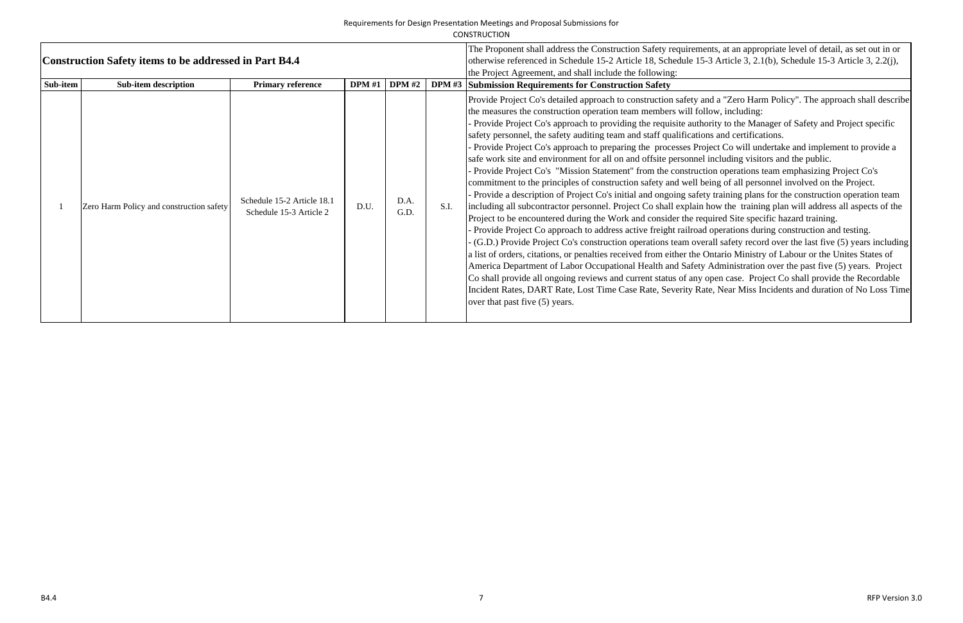| Requirements for Design Presentation Meetings and Proposal Submissions for |
|----------------------------------------------------------------------------|
| <b>CONSTRUCTION</b>                                                        |

|          | Construction Safety items to be addressed in Part B4.4 | The Proponent shall address the Construction Safety requireme<br>otherwise referenced in Schedule 15-2 Article 18, Schedule 15-<br>the Project Agreement, and shall include the following: |               |              |               |                                                                                                                                                                                                                                                                                                                                                                                                                                                                                                                                                                                                                                                                                                                                                                                                                                                                                                                                                                                                                                                                                                                                                                                                           |
|----------|--------------------------------------------------------|--------------------------------------------------------------------------------------------------------------------------------------------------------------------------------------------|---------------|--------------|---------------|-----------------------------------------------------------------------------------------------------------------------------------------------------------------------------------------------------------------------------------------------------------------------------------------------------------------------------------------------------------------------------------------------------------------------------------------------------------------------------------------------------------------------------------------------------------------------------------------------------------------------------------------------------------------------------------------------------------------------------------------------------------------------------------------------------------------------------------------------------------------------------------------------------------------------------------------------------------------------------------------------------------------------------------------------------------------------------------------------------------------------------------------------------------------------------------------------------------|
| Sub-item | <b>Sub-item description</b>                            | <b>Primary reference</b>                                                                                                                                                                   | <b>DPM</b> #1 | DPM#2        | <b>DPM</b> #3 | <b>Submission Requirements for Construction Safety</b>                                                                                                                                                                                                                                                                                                                                                                                                                                                                                                                                                                                                                                                                                                                                                                                                                                                                                                                                                                                                                                                                                                                                                    |
|          | Zero Harm Policy and construction safety               | Schedule 15-2 Article 18.1<br>Schedule 15-3 Article 2                                                                                                                                      | D.U.          | D.A.<br>G.D. | S.I.          | Provide Project Co's detailed approach to construction safety an<br>the measures the construction operation team members will foll<br>Provide Project Co's approach to providing the requisite author-<br>safety personnel, the safety auditing team and staff qualification<br>Provide Project Co's approach to preparing the processes Pro<br>safe work site and environment for all on and offsite personnel<br>- Provide Project Co's "Mission Statement" from the construct<br>commitment to the principles of construction safety and well be<br>Provide a description of Project Co's initial and ongoing safet<br>including all subcontractor personnel. Project Co shall explain<br>Project to be encountered during the Work and consider the req<br>Provide Project Co approach to address active freight railroad<br>(G.D.) Provide Project Co's construction operations team over<br>a list of orders, citations, or penalties received from either the O<br>America Department of Labor Occupational Health and Safety<br>Co shall provide all ongoing reviews and current status of any<br>Incident Rates, DART Rate, Lost Time Case Rate, Severity Rate<br>over that past five (5) years. |

ents, at an appropriate level of detail, as set out in or  $6-3$  Article 3, 2.1(b), Schedule 15-3 Article 3, 2.2(j),

and a "Zero Harm Policy". The approach shall describe the measure including:

ority to the Manager of Safety and Project specific ons and certifications.

pject Co will undertake and implement to provide a I including visitors and the public.

tion operations team emphasizing Project Co's being of all personnel involved on the Project.

ty training plans for the construction operation team how the training plan will address all aspects of the quired Site specific hazard training.

l operations during construction and testing.

rall safety record over the last five (5) years including Ontario Ministry of Labour or the Unites States of Administration over the past five  $(5)$  years. Project open case. Project Co shall provide the Recordable Inte, Near Miss Incidents and duration of No Loss Time